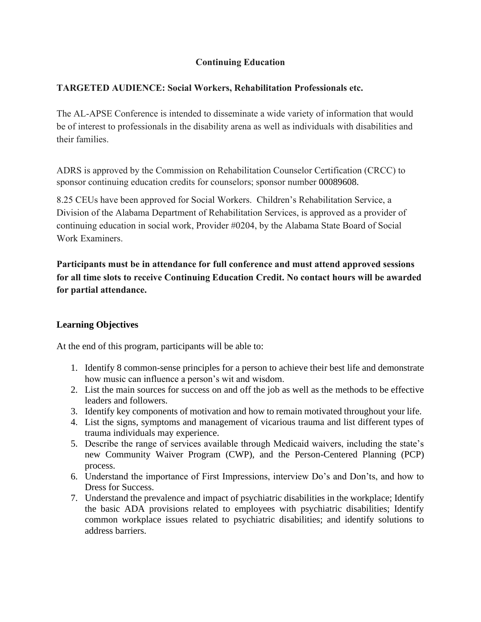#### **Continuing Education**

#### **TARGETED AUDIENCE: Social Workers, Rehabilitation Professionals etc.**

The AL-APSE Conference is intended to disseminate a wide variety of information that would be of interest to professionals in the disability arena as well as individuals with disabilities and their families.

ADRS is approved by the Commission on Rehabilitation Counselor Certification (CRCC) to sponsor continuing education credits for counselors; sponsor number 00089608.

8.25 CEUs have been approved for Social Workers. Children's Rehabilitation Service, a Division of the Alabama Department of Rehabilitation Services, is approved as a provider of continuing education in social work, Provider #0204, by the Alabama State Board of Social Work Examiners.

**Participants must be in attendance for full conference and must attend approved sessions for all time slots to receive Continuing Education Credit. No contact hours will be awarded for partial attendance.**

#### **Learning Objectives**

At the end of this program, participants will be able to:

- 1. Identify 8 common-sense principles for a person to achieve their best life and demonstrate how music can influence a person's wit and wisdom.
- 2. List the main sources for success on and off the job as well as the methods to be effective leaders and followers.
- 3. Identify key components of motivation and how to remain motivated throughout your life.
- 4. List the signs, symptoms and management of vicarious trauma and list different types of trauma individuals may experience.
- 5. Describe the range of services available through Medicaid waivers, including the state's new Community Waiver Program (CWP), and the Person-Centered Planning (PCP) process.
- 6. Understand the importance of First Impressions, interview Do's and Don'ts, and how to Dress for Success.
- 7. Understand the prevalence and impact of psychiatric disabilities in the workplace; Identify the basic ADA provisions related to employees with psychiatric disabilities; Identify common workplace issues related to psychiatric disabilities; and identify solutions to address barriers.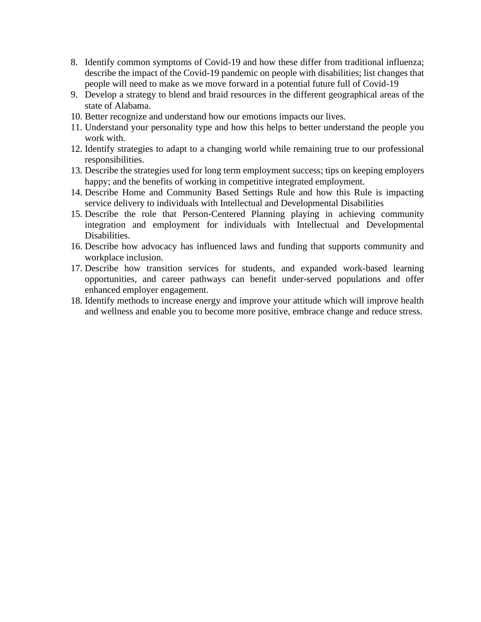- 8. Identify common symptoms of Covid-19 and how these differ from traditional influenza; describe the impact of the Covid-19 pandemic on people with disabilities; list changes that people will need to make as we move forward in a potential future full of Covid-19
- 9. Develop a strategy to blend and braid resources in the different geographical areas of the state of Alabama.
- 10. Better recognize and understand how our emotions impacts our lives.
- 11. Understand your personality type and how this helps to better understand the people you work with.
- 12. Identify strategies to adapt to a changing world while remaining true to our professional responsibilities.
- 13. Describe the strategies used for long term employment success; tips on keeping employers happy; and the benefits of working in competitive integrated employment.
- 14. Describe Home and Community Based Settings Rule and how this Rule is impacting service delivery to individuals with Intellectual and Developmental Disabilities
- 15. Describe the role that Person-Centered Planning playing in achieving community integration and employment for individuals with Intellectual and Developmental Disabilities.
- 16. Describe how advocacy has influenced laws and funding that supports community and workplace inclusion.
- 17. Describe how transition services for students, and expanded work-based learning opportunities, and career pathways can benefit under-served populations and offer enhanced employer engagement.
- 18. Identify methods to increase energy and improve your attitude which will improve health and wellness and enable you to become more positive, embrace change and reduce stress.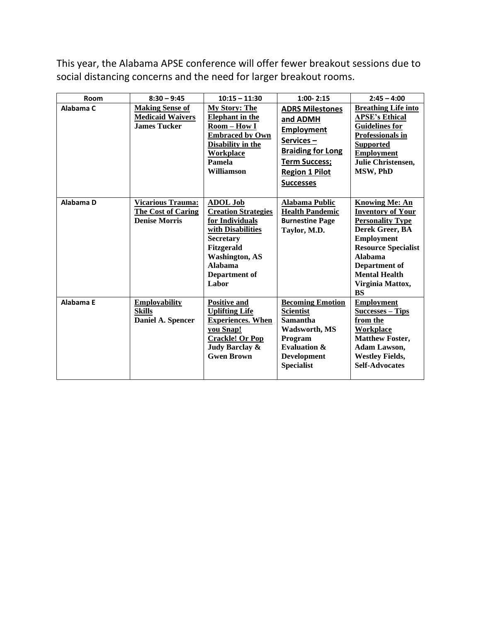This year, the Alabama APSE conference will offer fewer breakout sessions due to social distancing concerns and the need for larger breakout rooms.

| Room      | $8:30 - 9:45$                                                                 | $10:15 - 11:30$                                                                                                                                                                                     | $1:00 - 2:15$                                                                                                                                                           | $2:45 - 4:00$                                                                                                                                                                                                                                  |
|-----------|-------------------------------------------------------------------------------|-----------------------------------------------------------------------------------------------------------------------------------------------------------------------------------------------------|-------------------------------------------------------------------------------------------------------------------------------------------------------------------------|------------------------------------------------------------------------------------------------------------------------------------------------------------------------------------------------------------------------------------------------|
| Alabama C | <b>Making Sense of</b><br><b>Medicaid Waivers</b><br><b>James Tucker</b>      | <b>My Story: The</b><br><b>Elephant</b> in the<br>Room - How I<br><b>Embraced by Own</b><br><b>Disability in the</b><br><b>Workplace</b><br>Pamela<br>Williamson                                    | <b>ADRS Milestones</b><br>and ADMH<br><b>Employment</b><br>Services-<br><b>Braiding for Long</b><br><b>Term Success;</b><br><b>Region 1 Pilot</b><br><b>Successes</b>   | <b>Breathing Life into</b><br><b>APSE's Ethical</b><br><b>Guidelines for</b><br>Professionals in<br><b>Supported</b><br><b>Employment</b><br>Julie Christensen,<br>MSW, PhD                                                                    |
| Alabama D | <b>Vicarious Trauma:</b><br><b>The Cost of Caring</b><br><b>Denise Morris</b> | <b>ADOL Job</b><br><b>Creation Strategies</b><br>for Individuals<br>with Disabilities<br><b>Secretary</b><br><b>Fitzgerald</b><br><b>Washington, AS</b><br><b>Alabama</b><br>Department of<br>Labor | <b>Alabama Public</b><br><b>Health Pandemic</b><br><b>Burnestine Page</b><br>Taylor, M.D.                                                                               | <b>Knowing Me: An</b><br><b>Inventory of Your</b><br><b>Personality Type</b><br>Derek Greer, BA<br><b>Employment</b><br><b>Resource Specialist</b><br><b>Alabama</b><br>Department of<br><b>Mental Health</b><br>Virginia Mattox,<br><b>BS</b> |
| Alabama E | <b>Employability</b><br><b>Skills</b><br>Daniel A. Spencer                    | <b>Positive and</b><br><b>Uplifting Life</b><br><b>Experiences. When</b><br>you Snap!<br><b>Crackle! Or Pop</b><br>Judy Barclay &<br><b>Gwen Brown</b>                                              | <b>Becoming Emotion</b><br><b>Scientist</b><br><b>Samantha</b><br><b>Wadsworth, MS</b><br>Program<br><b>Evaluation &amp;</b><br><b>Development</b><br><b>Specialist</b> | <b>Employment</b><br><b>Successes - Tips</b><br>from the<br><b>Workplace</b><br><b>Matthew Foster,</b><br>Adam Lawson,<br><b>Westley Fields,</b><br><b>Self-Advocates</b>                                                                      |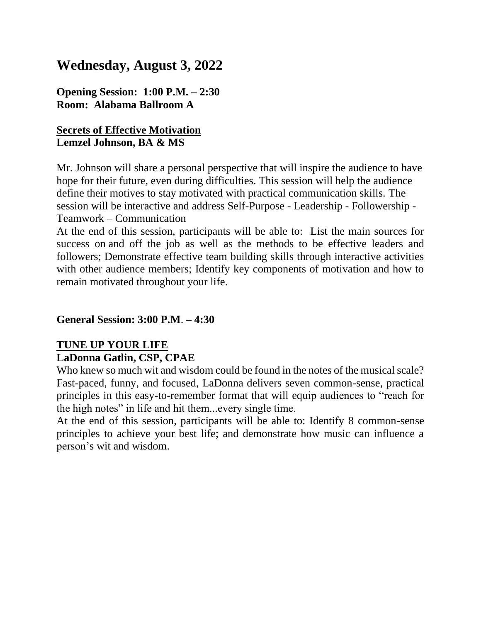# **Wednesday, August 3, 2022**

**Opening Session: 1:00 P.M. – 2:30 Room: Alabama Ballroom A**

#### **Secrets of Effective Motivation Lemzel Johnson, BA & MS**

Mr. Johnson will share a personal perspective that will inspire the audience to have hope for their future, even during difficulties. This session will help the audience define their motives to stay motivated with practical communication skills. The session will be interactive and address Self-Purpose - Leadership - Followership - Teamwork – Communication

At the end of this session, participants will be able to: List the main sources for success on and off the job as well as the methods to be effective leaders and followers; Demonstrate effective team building skills through interactive activities with other audience members; Identify key components of motivation and how to remain motivated throughout your life.

#### **General Session: 3:00 P.M**. **– 4:30**

#### **TUNE UP YOUR LIFE LaDonna Gatlin, CSP, CPAE**

Who knew so much wit and wisdom could be found in the notes of the musical scale? Fast-paced, funny, and focused, LaDonna delivers seven common-sense, practical principles in this easy-to-remember format that will equip audiences to "reach for the high notes" in life and hit them...every single time.

At the end of this session, participants will be able to: Identify 8 common-sense principles to achieve your best life; and demonstrate how music can influence a person's wit and wisdom.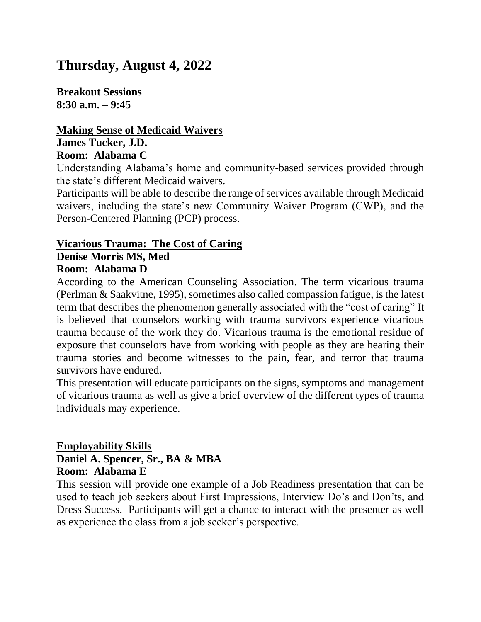# **Thursday, August 4, 2022**

**Breakout Sessions 8:30 a.m. – 9:45**

#### **Making Sense of Medicaid Waivers James Tucker, J.D. Room: Alabama C**

Understanding Alabama's home and community-based services provided through the state's different Medicaid waivers.

Participants will be able to describe the range of services available through Medicaid waivers, including the state's new Community Waiver Program (CWP), and the Person-Centered Planning (PCP) process.

#### **Vicarious Trauma: The Cost of Caring Denise Morris MS, Med**

## **Room: Alabama D**

According to the American Counseling Association. The term vicarious trauma (Perlman & Saakvitne, 1995), sometimes also called compassion fatigue, is the latest term that describes the phenomenon generally associated with the "cost of caring" It is believed that counselors working with trauma survivors experience vicarious trauma because of the work they do. Vicarious trauma is the emotional residue of exposure that counselors have from working with people as they are hearing their trauma stories and become witnesses to the pain, fear, and terror that trauma survivors have endured.

This presentation will educate participants on the signs, symptoms and management of vicarious trauma as well as give a brief overview of the different types of trauma individuals may experience.

#### **Employability Skills Daniel A. Spencer, Sr., BA & MBA Room: Alabama E**

This session will provide one example of a Job Readiness presentation that can be used to teach job seekers about First Impressions, Interview Do's and Don'ts, and Dress Success. Participants will get a chance to interact with the presenter as well as experience the class from a job seeker's perspective.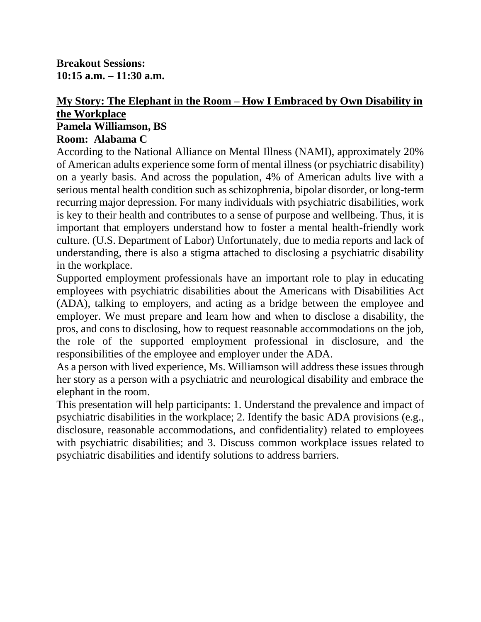**Breakout Sessions: 10:15 a.m. – 11:30 a.m.**

## **My Story: The Elephant in the Room – How I Embraced by Own Disability in the Workplace Pamela Williamson, BS**

#### **Room: Alabama C**

According to the National Alliance on Mental Illness (NAMI), approximately 20% of American adults experience some form of mental illness (or psychiatric disability) on a yearly basis. And across the population, 4% of American adults live with a serious mental health condition such as schizophrenia, bipolar disorder, or long-term recurring major depression. For many individuals with psychiatric disabilities, work is key to their health and contributes to a sense of purpose and wellbeing. Thus, it is important that employers understand how to foster a mental health-friendly work culture. (U.S. Department of Labor) Unfortunately, due to media reports and lack of understanding, there is also a stigma attached to disclosing a psychiatric disability in the workplace.

Supported employment professionals have an important role to play in educating employees with psychiatric disabilities about the Americans with Disabilities Act (ADA), talking to employers, and acting as a bridge between the employee and employer. We must prepare and learn how and when to disclose a disability, the pros, and cons to disclosing, how to request reasonable accommodations on the job, the role of the supported employment professional in disclosure, and the responsibilities of the employee and employer under the ADA.

As a person with lived experience, Ms. Williamson will address these issues through her story as a person with a psychiatric and neurological disability and embrace the elephant in the room.

This presentation will help participants: 1. Understand the prevalence and impact of psychiatric disabilities in the workplace; 2. Identify the basic ADA provisions (e.g., disclosure, reasonable accommodations, and confidentiality) related to employees with psychiatric disabilities; and 3. Discuss common workplace issues related to psychiatric disabilities and identify solutions to address barriers.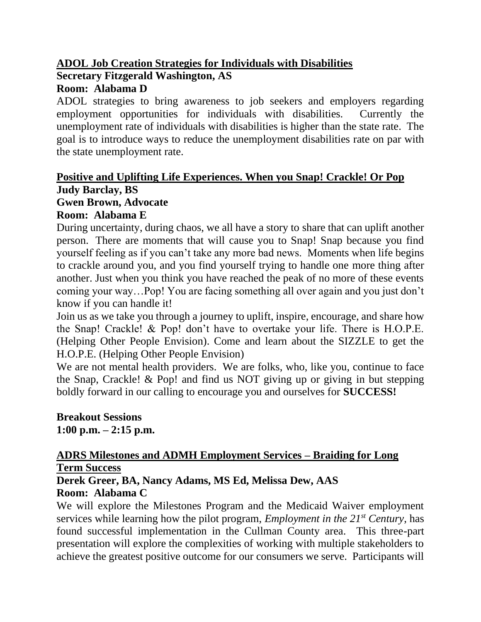#### **ADOL Job Creation Strategies for Individuals with Disabilities Secretary Fitzgerald Washington, AS Room: Alabama D**

ADOL strategies to bring awareness to job seekers and employers regarding employment opportunities for individuals with disabilities. Currently the unemployment rate of individuals with disabilities is higher than the state rate. The goal is to introduce ways to reduce the unemployment disabilities rate on par with the state unemployment rate.

## **Positive and Uplifting Life Experiences. When you Snap! Crackle! Or Pop Judy Barclay, BS**

## **Gwen Brown, Advocate**

## **Room: Alabama E**

During uncertainty, during chaos, we all have a story to share that can uplift another person. There are moments that will cause you to Snap! Snap because you find yourself feeling as if you can't take any more bad news. Moments when life begins to crackle around you, and you find yourself trying to handle one more thing after another. Just when you think you have reached the peak of no more of these events coming your way…Pop! You are facing something all over again and you just don't know if you can handle it!

Join us as we take you through a journey to uplift, inspire, encourage, and share how the Snap! Crackle! & Pop! don't have to overtake your life. There is H.O.P.E. (Helping Other People Envision). Come and learn about the SIZZLE to get the H.O.P.E. (Helping Other People Envision)

We are not mental health providers. We are folks, who, like you, continue to face the Snap, Crackle! & Pop! and find us NOT giving up or giving in but stepping boldly forward in our calling to encourage you and ourselves for **SUCCESS!**

**Breakout Sessions 1:00 p.m. – 2:15 p.m.**

### **ADRS Milestones and ADMH Employment Services – Braiding for Long Term Success**

**Derek Greer, BA, Nancy Adams, MS Ed, Melissa Dew, AAS Room: Alabama C**

We will explore the Milestones Program and the Medicaid Waiver employment services while learning how the pilot program, *Employment in the 21st Century*, has found successful implementation in the Cullman County area. This three-part presentation will explore the complexities of working with multiple stakeholders to achieve the greatest positive outcome for our consumers we serve. Participants will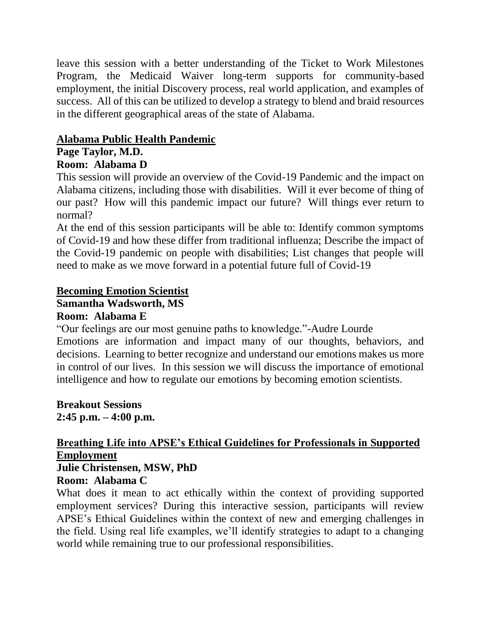leave this session with a better understanding of the Ticket to Work Milestones Program, the Medicaid Waiver long-term supports for community-based employment, the initial Discovery process, real world application, and examples of success. All of this can be utilized to develop a strategy to blend and braid resources in the different geographical areas of the state of Alabama.

## **Alabama Public Health Pandemic**

# **Page Taylor, M.D.**

### **Room: Alabama D**

This session will provide an overview of the Covid-19 Pandemic and the impact on Alabama citizens, including those with disabilities. Will it ever become of thing of our past? How will this pandemic impact our future? Will things ever return to normal?

At the end of this session participants will be able to: Identify common symptoms of Covid-19 and how these differ from traditional influenza; Describe the impact of the Covid-19 pandemic on people with disabilities; List changes that people will need to make as we move forward in a potential future full of Covid-19

## **Becoming Emotion Scientist**

## **Samantha Wadsworth, MS**

#### **Room: Alabama E**

"Our feelings are our most genuine paths to knowledge."-Audre Lourde

Emotions are information and impact many of our thoughts, behaviors, and decisions. Learning to better recognize and understand our emotions makes us more in control of our lives. In this session we will discuss the importance of emotional intelligence and how to regulate our emotions by becoming emotion scientists.

**Breakout Sessions 2:45 p.m. – 4:00 p.m.**

#### **Breathing Life into APSE's Ethical Guidelines for Professionals in Supported Employment Julie Christensen, MSW, PhD**

## **Room: Alabama C**

What does it mean to act ethically within the context of providing supported employment services? During this interactive session, participants will review APSE's Ethical Guidelines within the context of new and emerging challenges in the field. Using real life examples, we'll identify strategies to adapt to a changing world while remaining true to our professional responsibilities.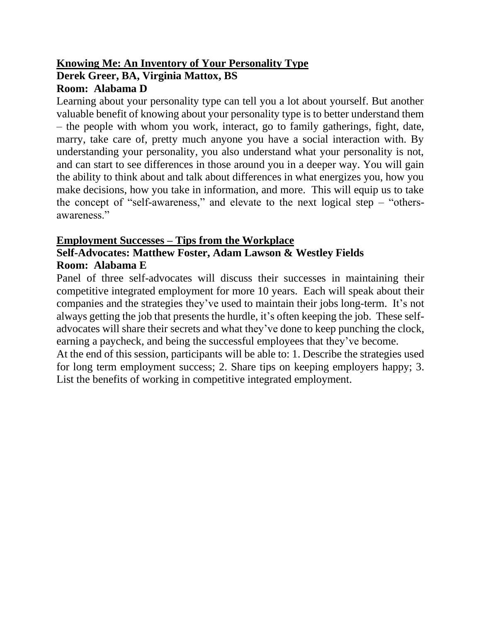## **Knowing Me: An Inventory of Your Personality Type Derek Greer, BA, Virginia Mattox, BS Room: Alabama D**

Learning about your personality type can tell you a lot about yourself. But another valuable benefit of knowing about your personality type is to better understand them – the people with whom you work, interact, go to family gatherings, fight, date, marry, take care of, pretty much anyone you have a social interaction with. By understanding your personality, you also understand what your personality is not, and can start to see differences in those around you in a deeper way. You will gain the ability to think about and talk about differences in what energizes you, how you make decisions, how you take in information, and more. This will equip us to take the concept of "self-awareness," and elevate to the next logical step – "othersawareness."

## **Employment Successes – Tips from the Workplace Self-Advocates: Matthew Foster, Adam Lawson & Westley Fields**

## **Room: Alabama E**

Panel of three self-advocates will discuss their successes in maintaining their competitive integrated employment for more 10 years. Each will speak about their companies and the strategies they've used to maintain their jobs long-term. It's not always getting the job that presents the hurdle, it's often keeping the job. These selfadvocates will share their secrets and what they've done to keep punching the clock, earning a paycheck, and being the successful employees that they've become.

At the end of this session, participants will be able to: 1. Describe the strategies used for long term employment success; 2. Share tips on keeping employers happy; 3. List the benefits of working in competitive integrated employment.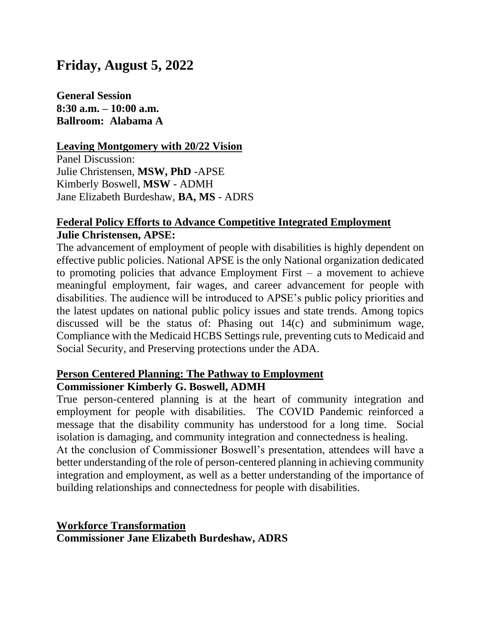# **Friday, August 5, 2022**

**General Session 8:30 a.m. – 10:00 a.m. Ballroom: Alabama A**

#### **Leaving Montgomery with 20/22 Vision**

Panel Discussion: Julie Christensen, **MSW, PhD** -APSE Kimberly Boswell, **MSW** - ADMH Jane Elizabeth Burdeshaw, **BA, MS** - ADRS

#### **Federal Policy Efforts to Advance Competitive Integrated Employment Julie Christensen, APSE:**

The advancement of employment of people with disabilities is highly dependent on effective public policies. National APSE is the only National organization dedicated to promoting policies that advance Employment First  $-$  a movement to achieve meaningful employment, fair wages, and career advancement for people with disabilities. The audience will be introduced to APSE's public policy priorities and the latest updates on national public policy issues and state trends. Among topics discussed will be the status of: Phasing out 14(c) and subminimum wage, Compliance with the Medicaid HCBS Settings rule, preventing cuts to Medicaid and Social Security, and Preserving protections under the ADA.

#### **Person Centered Planning: The Pathway to Employment Commissioner Kimberly G. Boswell, ADMH**

True person-centered planning is at the heart of community integration and employment for people with disabilities. The COVID Pandemic reinforced a message that the disability community has understood for a long time. Social isolation is damaging, and community integration and connectedness is healing.

At the conclusion of Commissioner Boswell's presentation, attendees will have a better understanding of the role of person-centered planning in achieving community integration and employment, as well as a better understanding of the importance of building relationships and connectedness for people with disabilities.

**Workforce Transformation Commissioner Jane Elizabeth Burdeshaw, ADRS**